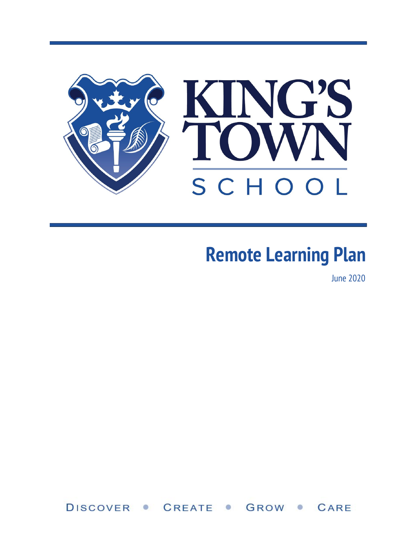

# **Remote Learning Plan**

June 2020

DISCOVER • CREATE • GROW • CARE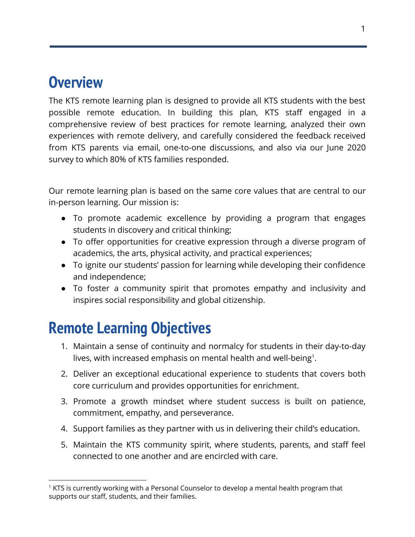### **Overview**

The KTS remote learning plan is designed to provide all KTS students with the best possible remote education. In building this plan, KTS staff engaged in a comprehensive review of best practices for remote learning, analyzed their own experiences with remote delivery, and carefully considered the feedback received from KTS parents via email, one-to-one discussions, and also via our June 2020 survey to which 80% of KTS families responded.

Our remote learning plan is based on the same core values that are central to our in-person learning. Our mission is:

- To promote academic excellence by providing a program that engages students in discovery and critical thinking;
- To offer opportunities for creative expression through a diverse program of academics, the arts, physical activity, and practical experiences;
- To ignite our students' passion for learning while developing their confidence and independence;
- To foster a community spirit that promotes empathy and inclusivity and inspires social responsibility and global citizenship.

# **Remote Learning Objectives**

- 1. Maintain a sense of continuity and normalcy for students in their day-to-day lives, with increased emphasis on mental health and well-being<sup>1</sup>.
- 2. Deliver an exceptional educational experience to students that covers both core curriculum and provides opportunities for enrichment.
- 3. Promote a growth mindset where student success is built on patience, commitment, empathy, and perseverance.
- 4. Support families as they partner with us in delivering their child's education.
- 5. Maintain the KTS community spirit, where students, parents, and staff feel connected to one another and are encircled with care.

 $<sup>1</sup>$  KTS is currently working with a Personal Counselor to develop a mental health program that</sup> supports our staff, students, and their families.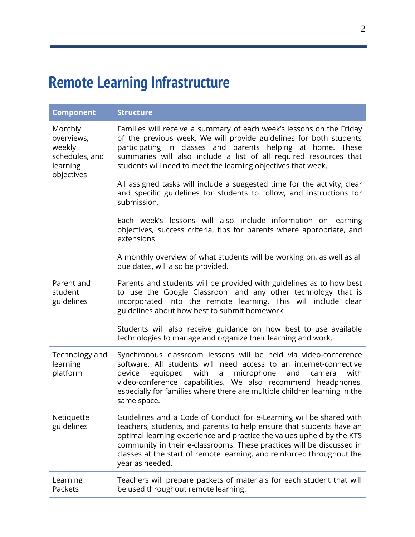# **Remote Learning Infrastructure**

| <b>Component</b>                                                            | <b>Structure</b>                                                                                                                                                                                                                                                                                                                                                                           |
|-----------------------------------------------------------------------------|--------------------------------------------------------------------------------------------------------------------------------------------------------------------------------------------------------------------------------------------------------------------------------------------------------------------------------------------------------------------------------------------|
| Monthly<br>overviews,<br>weekly<br>schedules, and<br>learning<br>objectives | Families will receive a summary of each week's lessons on the Friday<br>of the previous week. We will provide guidelines for both students<br>participating in classes and parents helping at home. These<br>summaries will also include a list of all required resources that<br>students will need to meet the learning objectives that week.                                            |
|                                                                             | All assigned tasks will include a suggested time for the activity, clear<br>and specific guidelines for students to follow, and instructions for<br>submission.                                                                                                                                                                                                                            |
|                                                                             | Each week's lessons will also include information on learning<br>objectives, success criteria, tips for parents where appropriate, and<br>extensions.                                                                                                                                                                                                                                      |
|                                                                             | A monthly overview of what students will be working on, as well as all<br>due dates, will also be provided.                                                                                                                                                                                                                                                                                |
| Parent and<br>student<br>guidelines                                         | Parents and students will be provided with guidelines as to how best<br>to use the Google Classroom and any other technology that is<br>incorporated into the remote learning. This will include clear<br>guidelines about how best to submit homework.                                                                                                                                    |
|                                                                             | Students will also receive guidance on how best to use available<br>technologies to manage and organize their learning and work.                                                                                                                                                                                                                                                           |
| Technology and<br>learning<br>platform                                      | Synchronous classroom lessons will be held via video-conference<br>software. All students will need access to an internet-connective<br>equipped<br>with a microphone<br>with<br>device<br>and<br>camera<br>video-conference capabilities. We also recommend headphones,<br>especially for families where there are multiple children learning in the<br>same space.                       |
| Netiquette<br>guidelines                                                    | Guidelines and a Code of Conduct for e-Learning will be shared with<br>teachers, students, and parents to help ensure that students have an<br>optimal learning experience and practice the values upheld by the KTS<br>community in their e-classrooms. These practices will be discussed in<br>classes at the start of remote learning, and reinforced throughout the<br>year as needed. |
| Learning<br>Packets                                                         | Teachers will prepare packets of materials for each student that will<br>be used throughout remote learning.                                                                                                                                                                                                                                                                               |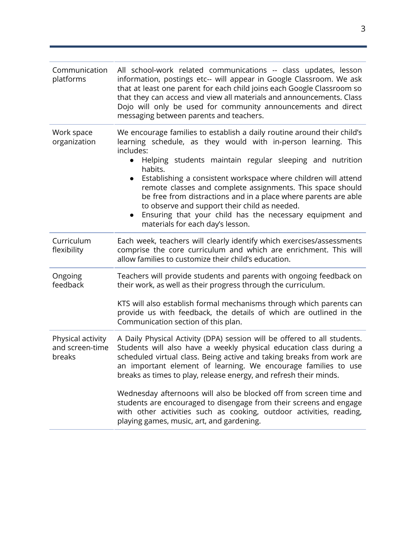| Communication<br>platforms                     | All school-work related communications -- class updates, lesson<br>information, postings etc-- will appear in Google Classroom. We ask<br>that at least one parent for each child joins each Google Classroom so<br>that they can access and view all materials and announcements. Class<br>Dojo will only be used for community announcements and direct<br>messaging between parents and teachers.                                                                                                                                                                                                                     |  |  |  |
|------------------------------------------------|--------------------------------------------------------------------------------------------------------------------------------------------------------------------------------------------------------------------------------------------------------------------------------------------------------------------------------------------------------------------------------------------------------------------------------------------------------------------------------------------------------------------------------------------------------------------------------------------------------------------------|--|--|--|
| Work space<br>organization                     | We encourage families to establish a daily routine around their child's<br>learning schedule, as they would with in-person learning. This<br>includes:<br>Helping students maintain regular sleeping and nutrition<br>$\bullet$<br>habits.<br>Establishing a consistent workspace where children will attend<br>$\bullet$<br>remote classes and complete assignments. This space should<br>be free from distractions and in a place where parents are able<br>to observe and support their child as needed.<br>Ensuring that your child has the necessary equipment and<br>$\bullet$<br>materials for each day's lesson. |  |  |  |
| Curriculum<br>flexibility                      | Each week, teachers will clearly identify which exercises/assessments<br>comprise the core curriculum and which are enrichment. This will<br>allow families to customize their child's education.                                                                                                                                                                                                                                                                                                                                                                                                                        |  |  |  |
| Ongoing<br>feedback                            | Teachers will provide students and parents with ongoing feedback on<br>their work, as well as their progress through the curriculum.<br>KTS will also establish formal mechanisms through which parents can<br>provide us with feedback, the details of which are outlined in the<br>Communication section of this plan.                                                                                                                                                                                                                                                                                                 |  |  |  |
| Physical activity<br>and screen-time<br>breaks | A Daily Physical Activity (DPA) session will be offered to all students.<br>Students will also have a weekly physical education class during a<br>scheduled virtual class. Being active and taking breaks from work are<br>an important element of learning. We encourage families to use<br>breaks as times to play, release energy, and refresh their minds.                                                                                                                                                                                                                                                           |  |  |  |
|                                                | Wednesday afternoons will also be blocked off from screen time and<br>students are encouraged to disengage from their screens and engage<br>with other activities such as cooking, outdoor activities, reading,<br>playing games, music, art, and gardening.                                                                                                                                                                                                                                                                                                                                                             |  |  |  |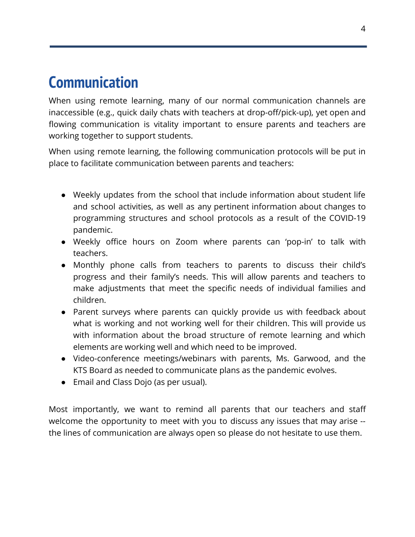### **Communication**

When using remote learning, many of our normal communication channels are inaccessible (e.g., quick daily chats with teachers at drop-off/pick-up), yet open and flowing communication is vitality important to ensure parents and teachers are working together to support students.

When using remote learning, the following communication protocols will be put in place to facilitate communication between parents and teachers:

- Weekly updates from the school that include information about student life and school activities, as well as any pertinent information about changes to programming structures and school protocols as a result of the COVID-19 pandemic.
- Weekly office hours on Zoom where parents can 'pop-in' to talk with teachers.
- Monthly phone calls from teachers to parents to discuss their child's progress and their family's needs. This will allow parents and teachers to make adjustments that meet the specific needs of individual families and children.
- Parent surveys where parents can quickly provide us with feedback about what is working and not working well for their children. This will provide us with information about the broad structure of remote learning and which elements are working well and which need to be improved.
- Video-conference meetings/webinars with parents, Ms. Garwood, and the KTS Board as needed to communicate plans as the pandemic evolves.
- Email and Class Dojo (as per usual).

Most importantly, we want to remind all parents that our teachers and staff welcome the opportunity to meet with you to discuss any issues that may arise - the lines of communication are always open so please do not hesitate to use them.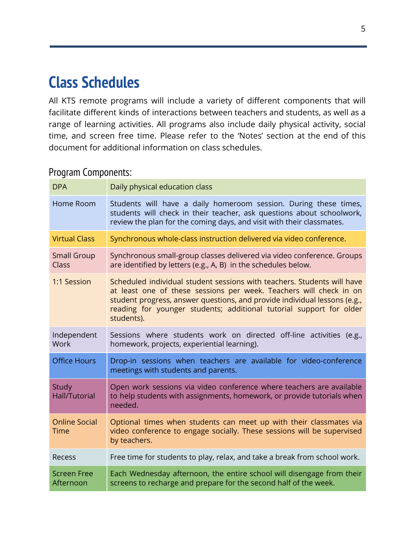## **Class Schedules**

All KTS remote programs will include a variety of different components that will facilitate different kinds of interactions between teachers and students, as well as a range of learning activities. All programs also include daily physical activity, social time, and screen free time. Please refer to the 'Notes' section at the end of this document for additional information on class schedules.

#### Program Components:

| <b>DPA</b>                           | Daily physical education class                                                                                                                                                                                                                                                                                  |
|--------------------------------------|-----------------------------------------------------------------------------------------------------------------------------------------------------------------------------------------------------------------------------------------------------------------------------------------------------------------|
| Home Room                            | Students will have a daily homeroom session. During these times,<br>students will check in their teacher, ask questions about schoolwork,<br>review the plan for the coming days, and visit with their classmates.                                                                                              |
| <b>Virtual Class</b>                 | Synchronous whole-class instruction delivered via video conference.                                                                                                                                                                                                                                             |
| <b>Small Group</b><br><b>Class</b>   | Synchronous small-group classes delivered via video conference. Groups<br>are identified by letters (e.g., A, B) in the schedules below.                                                                                                                                                                        |
| 1:1 Session                          | Scheduled individual student sessions with teachers. Students will have<br>at least one of these sessions per week. Teachers will check in on<br>student progress, answer questions, and provide individual lessons (e.g.,<br>reading for younger students; additional tutorial support for older<br>students). |
| Independent<br>Work                  | Sessions where students work on directed off-line activities (e.g.,<br>homework, projects, experiential learning).                                                                                                                                                                                              |
| <b>Office Hours</b>                  | Drop-in sessions when teachers are available for video-conference<br>meetings with students and parents.                                                                                                                                                                                                        |
| <b>Study</b><br><b>Hall/Tutorial</b> | Open work sessions via video conference where teachers are available<br>to help students with assignments, homework, or provide tutorials when<br>needed.                                                                                                                                                       |
| <b>Online Social</b><br><b>Time</b>  | Optional times when students can meet up with their classmates via<br>video conference to engage socially. These sessions will be supervised<br>by teachers.                                                                                                                                                    |
| Recess                               | Free time for students to play, relax, and take a break from school work.                                                                                                                                                                                                                                       |
| <b>Screen Free</b><br>Afternoon      | Each Wednesday afternoon, the entire school will disengage from their<br>screens to recharge and prepare for the second half of the week.                                                                                                                                                                       |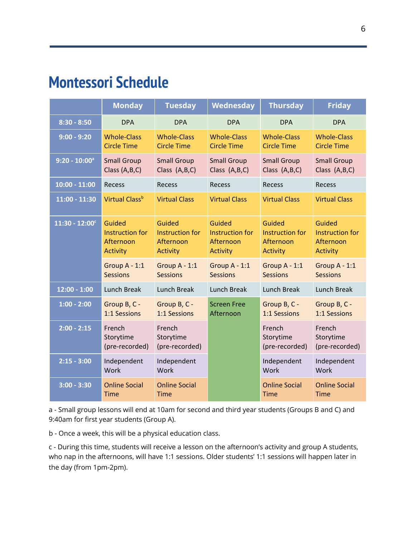### **Montessori Schedule**

|                              | <b>Monday</b>                                                    | <b>Tuesday</b>                                            | Wednesday                                                 | <b>Thursday</b>                                                  | <b>Friday</b>                                             |
|------------------------------|------------------------------------------------------------------|-----------------------------------------------------------|-----------------------------------------------------------|------------------------------------------------------------------|-----------------------------------------------------------|
| $8:30 - 8:50$                | <b>DPA</b>                                                       | <b>DPA</b>                                                | <b>DPA</b>                                                | <b>DPA</b>                                                       | <b>DPA</b>                                                |
| $9:00 - 9:20$                | <b>Whole-Class</b><br><b>Circle Time</b>                         | <b>Whole-Class</b><br><b>Circle Time</b>                  | <b>Whole-Class</b><br><b>Circle Time</b>                  | <b>Whole-Class</b><br><b>Circle Time</b>                         | <b>Whole-Class</b><br><b>Circle Time</b>                  |
| $9:20 - 10:00^a$             | <b>Small Group</b><br>Class (A,B,C)                              | <b>Small Group</b><br>Class (A,B,C)                       | <b>Small Group</b><br>Class (A,B,C)                       | <b>Small Group</b><br>Class $(A,B,C)$                            | <b>Small Group</b><br>Class (A,B,C)                       |
| $10:00 - 11:00$              | Recess                                                           | Recess                                                    | Recess                                                    | Recess                                                           | Recess                                                    |
| $11:00 - 11:30$              | Virtual Class <sup>b</sup>                                       | <b>Virtual Class</b>                                      | <b>Virtual Class</b>                                      | <b>Virtual Class</b>                                             | <b>Virtual Class</b>                                      |
| $11:30 - 12:00$ <sup>c</sup> | Guided<br><b>Instruction for</b><br>Afternoon<br><b>Activity</b> | Guided<br>Instruction for<br>Afternoon<br><b>Activity</b> | Guided<br>Instruction for<br>Afternoon<br><b>Activity</b> | Guided<br><b>Instruction for</b><br>Afternoon<br><b>Activity</b> | Guided<br>Instruction for<br>Afternoon<br><b>Activity</b> |
|                              | Group A - 1:1<br><b>Sessions</b>                                 | Group $A - 1:1$<br><b>Sessions</b>                        | Group $A - 1:1$<br><b>Sessions</b>                        | Group $A - 1:1$<br><b>Sessions</b>                               | Group $A - 1:1$<br><b>Sessions</b>                        |
| $12:00 - 1:00$               | <b>Lunch Break</b>                                               | <b>Lunch Break</b>                                        | <b>Lunch Break</b>                                        | <b>Lunch Break</b>                                               | <b>Lunch Break</b>                                        |
| $1:00 - 2:00$                | Group B, C -<br>1:1 Sessions                                     | Group B, C -<br>1:1 Sessions                              | <b>Screen Free</b><br>Afternoon                           | Group B, C -<br>1:1 Sessions                                     | Group B, C -<br>1:1 Sessions                              |
| $2:00 - 2:15$                | French<br>Storytime<br>(pre-recorded)                            | French<br>Storytime<br>(pre-recorded)                     |                                                           | French<br>Storytime<br>(pre-recorded)                            | French<br>Storytime<br>(pre-recorded)                     |
| $2:15 - 3:00$                | Independent<br>Work                                              | Independent<br>Work                                       |                                                           | Independent<br>Work                                              | Independent<br>Work                                       |
| $3:00 - 3:30$                | <b>Online Social</b><br><b>Time</b>                              | <b>Online Social</b><br><b>Time</b>                       |                                                           | <b>Online Social</b><br><b>Time</b>                              | <b>Online Social</b><br><b>Time</b>                       |

a - Small group lessons will end at 10am for second and third year students (Groups B and C) and 9:40am for first year students (Group A).

b - Once a week, this will be a physical education class.

c - During this time, students will receive a lesson on the afternoon's activity and group A students, who nap in the afternoons, will have 1:1 sessions. Older students' 1:1 sessions will happen later in the day (from 1pm-2pm).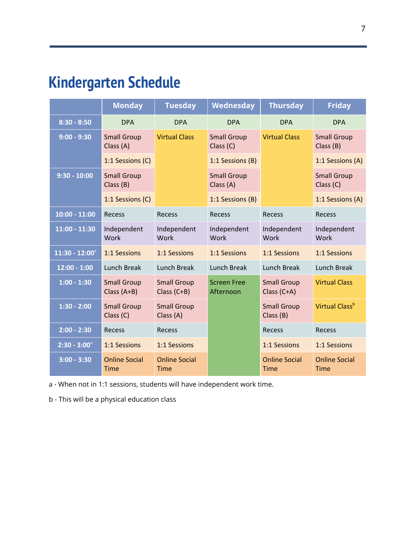# **Kindergarten Schedule**

|                   | <b>Monday</b>                       | <b>Tuesday</b>                                      | Wednesday                       | <b>Thursday</b>                     | <b>Friday</b>                       |
|-------------------|-------------------------------------|-----------------------------------------------------|---------------------------------|-------------------------------------|-------------------------------------|
| $8:30 - 8:50$     | <b>DPA</b>                          | <b>DPA</b>                                          | <b>DPA</b>                      | <b>DPA</b>                          | <b>DPA</b>                          |
| $9:00 - 9:30$     | <b>Small Group</b><br>Class (A)     | <b>Virtual Class</b>                                | <b>Small Group</b><br>Class (C) | <b>Virtual Class</b>                | <b>Small Group</b><br>Class(B)      |
|                   | 1:1 Sessions (C)                    |                                                     | 1:1 Sessions (B)                |                                     | 1:1 Sessions (A)                    |
| $9:30 - 10:00$    | <b>Small Group</b><br>Class (B)     |                                                     | <b>Small Group</b><br>Class (A) |                                     | <b>Small Group</b><br>Class (C)     |
|                   | 1:1 Sessions (C)                    |                                                     | 1:1 Sessions (B)                |                                     | 1:1 Sessions (A)                    |
| $10:00 - 11:00$   | Recess                              | Recess                                              | <b>Recess</b>                   | Recess                              | Recess                              |
| $11:00 - 11:30$   | Independent<br><b>Work</b>          | Independent<br>Work                                 | Independent<br>Work             | Independent<br>Work                 | Independent<br><b>Work</b>          |
| $11:30 - 12:00^a$ | 1:1 Sessions                        | 1:1 Sessions                                        | 1:1 Sessions                    | 1:1 Sessions                        | 1:1 Sessions                        |
| $12:00 - 1:00$    | Lunch Break                         | <b>Lunch Break</b>                                  | Lunch Break                     | <b>Lunch Break</b>                  | Lunch Break                         |
| $1:00 - 1:30$     | <b>Small Group</b><br>Class $(A+B)$ | <b>Small Group</b><br>Class $(C+B)$                 | <b>Screen Free</b><br>Afternoon | <b>Small Group</b><br>Class (C+A)   | <b>Virtual Class</b>                |
| $1:30 - 2:00$     | <b>Small Group</b><br>Class (C)     | <b>Small Group</b><br>Class (A)                     |                                 | <b>Small Group</b><br>Class (B)     | Virtual Class <sup>b</sup>          |
| $2:00 - 2:30$     | Recess                              | Recess                                              |                                 | Recess                              | Recess                              |
| $2:30 - 3:00^a$   | 1:1 Sessions                        | 1:1 Sessions<br><b>Online Social</b><br><b>Time</b> |                                 | 1:1 Sessions                        | 1:1 Sessions                        |
| $3:00 - 3:30$     | <b>Online Social</b><br><b>Time</b> |                                                     |                                 | <b>Online Social</b><br><b>Time</b> | <b>Online Social</b><br><b>Time</b> |

a - When not in 1:1 sessions, students will have independent work time.

b - This will be a physical education class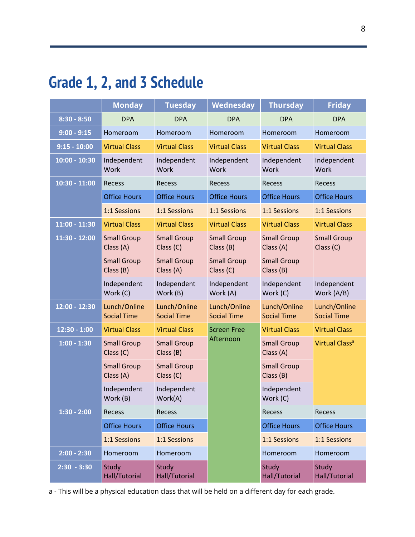# **Grade 1, 2, and 3 Schedule**

|                 | <b>Monday</b>                      | <b>Tuesday</b>                     | Wednesday                          | <b>Thursday</b>                    | <b>Friday</b>                      |
|-----------------|------------------------------------|------------------------------------|------------------------------------|------------------------------------|------------------------------------|
| $8:30 - 8:50$   | <b>DPA</b>                         | <b>DPA</b>                         | <b>DPA</b>                         | <b>DPA</b>                         | <b>DPA</b>                         |
| $9:00 - 9:15$   | Homeroom                           | Homeroom                           | Homeroom                           | Homeroom                           | Homeroom                           |
| $9:15 - 10:00$  | <b>Virtual Class</b>               | <b>Virtual Class</b>               | <b>Virtual Class</b>               | <b>Virtual Class</b>               | <b>Virtual Class</b>               |
| $10:00 - 10:30$ | Independent<br>Work                | Independent<br>Work                | Independent<br>Work                | Independent<br>Work                | Independent<br>Work                |
| $10:30 - 11:00$ | Recess                             | Recess                             | Recess                             | <b>Recess</b>                      | Recess                             |
|                 | <b>Office Hours</b>                | <b>Office Hours</b>                | <b>Office Hours</b>                | <b>Office Hours</b>                | <b>Office Hours</b>                |
|                 | 1:1 Sessions                       | 1:1 Sessions                       | 1:1 Sessions                       | 1:1 Sessions                       | 1:1 Sessions                       |
| $11:00 - 11:30$ | <b>Virtual Class</b>               | <b>Virtual Class</b>               | <b>Virtual Class</b>               | <b>Virtual Class</b>               | <b>Virtual Class</b>               |
| 11:30 - 12:00   | <b>Small Group</b><br>Class (A)    | <b>Small Group</b><br>Class (C)    | <b>Small Group</b><br>Class (B)    | <b>Small Group</b><br>Class (A)    | <b>Small Group</b><br>Class (C)    |
|                 | <b>Small Group</b><br>Class (B)    | <b>Small Group</b><br>Class (A)    | <b>Small Group</b><br>Class (C)    | <b>Small Group</b><br>Class (B)    |                                    |
|                 | Independent<br>Work (C)            | Independent<br>Work (B)            | Independent<br>Work (A)            | Independent<br>Work (C)            | Independent<br>Work (A/B)          |
| 12:00 - 12:30   | Lunch/Online<br><b>Social Time</b> | Lunch/Online<br><b>Social Time</b> | Lunch/Online<br><b>Social Time</b> | Lunch/Online<br><b>Social Time</b> | Lunch/Online<br><b>Social Time</b> |
| $12:30 - 1:00$  | <b>Virtual Class</b>               | <b>Virtual Class</b>               | <b>Screen Free</b>                 | <b>Virtual Class</b>               | <b>Virtual Class</b>               |
| $1:00 - 1:30$   | <b>Small Group</b><br>Class (C)    | <b>Small Group</b><br>Class (B)    | Afternoon                          | <b>Small Group</b><br>Class (A)    | Virtual Class <sup>a</sup>         |
|                 | <b>Small Group</b><br>Class (A)    | <b>Small Group</b><br>Class (C)    |                                    | <b>Small Group</b><br>Class(B)     |                                    |
|                 | Independent<br>Work (B)            | Independent<br>Work(A)             |                                    | Independent<br>Work (C)            |                                    |
| $1:30 - 2:00$   | Recess                             | Recess                             |                                    | Recess                             | Recess                             |
|                 | <b>Office Hours</b>                | <b>Office Hours</b>                |                                    | <b>Office Hours</b>                | <b>Office Hours</b>                |
|                 | 1:1 Sessions                       | 1:1 Sessions                       |                                    | 1:1 Sessions                       | 1:1 Sessions                       |
| $2:00 - 2:30$   | Homeroom                           | Homeroom                           |                                    | Homeroom                           | Homeroom                           |
| $2:30 - 3:30$   | Study<br>Hall/Tutorial             | Study<br>Hall/Tutorial             |                                    | Study<br>Hall/Tutorial             | Study<br>Hall/Tutorial             |

a - This will be a physical education class that will be held on a different day for each grade.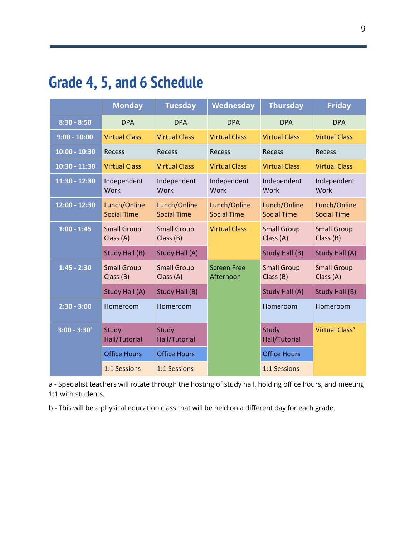# **Grade 4, 5, and 6 Schedule**

|                 | <b>Monday</b>                      | <b>Tuesday</b>                     | <b>Wednesday</b>                   | <b>Thursday</b>                    | <b>Friday</b>                      |
|-----------------|------------------------------------|------------------------------------|------------------------------------|------------------------------------|------------------------------------|
| $8:30 - 8:50$   | <b>DPA</b>                         | <b>DPA</b>                         | <b>DPA</b>                         | <b>DPA</b>                         | <b>DPA</b>                         |
| $9:00 - 10:00$  | <b>Virtual Class</b>               | <b>Virtual Class</b>               | <b>Virtual Class</b>               | <b>Virtual Class</b>               | <b>Virtual Class</b>               |
| $10:00 - 10:30$ | Recess                             | <b>Recess</b>                      | <b>Recess</b>                      | <b>Recess</b>                      | <b>Recess</b>                      |
| 10:30 - 11:30   | <b>Virtual Class</b>               | <b>Virtual Class</b>               | <b>Virtual Class</b>               | <b>Virtual Class</b>               | <b>Virtual Class</b>               |
| 11:30 - 12:30   | Independent<br>Work                | Independent<br>Work                | Independent<br>Work                | Independent<br>Work                | Independent<br>Work                |
| 12:00 - 12:30   | Lunch/Online<br><b>Social Time</b> | Lunch/Online<br><b>Social Time</b> | Lunch/Online<br><b>Social Time</b> | Lunch/Online<br><b>Social Time</b> | Lunch/Online<br><b>Social Time</b> |
| $1:00 - 1:45$   | <b>Small Group</b><br>Class (A)    | <b>Small Group</b><br>Class (B)    | <b>Virtual Class</b>               | <b>Small Group</b><br>Class (A)    | <b>Small Group</b><br>Class(B)     |
|                 | Study Hall (B)                     | Study Hall (A)                     |                                    | Study Hall (B)                     | Study Hall (A)                     |
| $1:45 - 2:30$   | <b>Small Group</b><br>Class (B)    | <b>Small Group</b><br>Class (A)    | <b>Screen Free</b><br>Afternoon    | <b>Small Group</b><br>Class (B)    | <b>Small Group</b><br>Class (A)    |
|                 | Study Hall (A)                     | Study Hall (B)                     |                                    | Study Hall (A)                     | Study Hall (B)                     |
| $2:30 - 3:00$   | Homeroom                           | Homeroom                           |                                    | Homeroom                           | Homeroom                           |
| $3:00 - 3:30^a$ | Study<br>Hall/Tutorial             | Study<br>Hall/Tutorial             |                                    | Study<br>Hall/Tutorial             | Virtual Class <sup>b</sup>         |
|                 | <b>Office Hours</b>                | <b>Office Hours</b>                |                                    | <b>Office Hours</b>                |                                    |
|                 | 1:1 Sessions                       | 1:1 Sessions                       |                                    | 1:1 Sessions                       |                                    |

a - Specialist teachers will rotate through the hosting of study hall, holding office hours, and meeting 1:1 with students.

b - This will be a physical education class that will be held on a different day for each grade.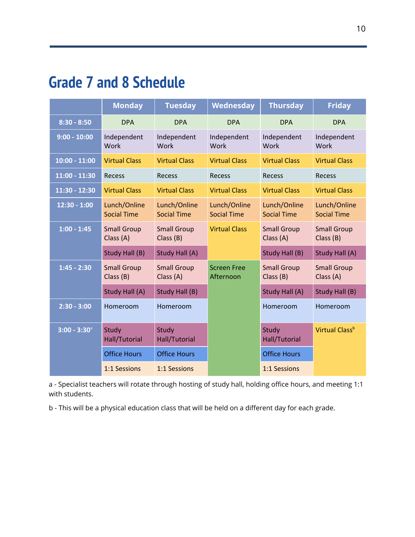## **Grade 7 and 8 Schedule**

|                   | <b>Monday</b>                      | <b>Tuesday</b>                     | Wednesday                          | <b>Thursday</b>                    | <b>Friday</b>                      |
|-------------------|------------------------------------|------------------------------------|------------------------------------|------------------------------------|------------------------------------|
| $8:30 - 8:50$     | <b>DPA</b>                         | <b>DPA</b>                         | <b>DPA</b>                         | <b>DPA</b>                         | <b>DPA</b>                         |
| $9:00 - 10:00$    | Independent<br>Work                | Independent<br>Work                | Independent<br><b>Work</b>         | Independent<br>Work                | Independent<br><b>Work</b>         |
| $10:00 - 11:00$   | <b>Virtual Class</b>               | <b>Virtual Class</b>               | <b>Virtual Class</b>               | <b>Virtual Class</b>               | <b>Virtual Class</b>               |
| 11:00 - 11:30     | Recess                             | Recess                             | <b>Recess</b>                      | <b>Recess</b>                      | <b>Recess</b>                      |
| 11:30 - 12:30     | <b>Virtual Class</b>               | <b>Virtual Class</b>               | <b>Virtual Class</b>               | <b>Virtual Class</b>               | <b>Virtual Class</b>               |
| $12:30 - 1:00$    | Lunch/Online<br><b>Social Time</b> | Lunch/Online<br><b>Social Time</b> | Lunch/Online<br><b>Social Time</b> | Lunch/Online<br><b>Social Time</b> | Lunch/Online<br><b>Social Time</b> |
| $1:00 - 1:45$     | <b>Small Group</b><br>Class (A)    | <b>Small Group</b><br>Class (B)    | <b>Virtual Class</b>               | <b>Small Group</b><br>Class (A)    | <b>Small Group</b><br>Class (B)    |
|                   | <b>Study Hall (B)</b>              | Study Hall (A)                     |                                    | Study Hall (B)                     | Study Hall (A)                     |
| $1:45 - 2:30$     | <b>Small Group</b><br>Class (B)    | <b>Small Group</b><br>Class (A)    | <b>Screen Free</b><br>Afternoon    | <b>Small Group</b><br>Class (B)    | <b>Small Group</b><br>Class (A)    |
|                   | Study Hall (A)                     | Study Hall (B)                     |                                    | Study Hall (A)                     | Study Hall (B)                     |
| $2:30 - 3:00$     | Homeroom                           | Homeroom                           |                                    | Homeroom                           | Homeroom                           |
| $3:00 - 3:30^{a}$ | Study<br>Hall/Tutorial             | Study<br>Hall/Tutorial             |                                    | Study<br>Hall/Tutorial             | Virtual Class <sup>b</sup>         |
|                   | <b>Office Hours</b>                | <b>Office Hours</b>                |                                    | <b>Office Hours</b>                |                                    |
|                   | 1:1 Sessions                       | 1:1 Sessions                       |                                    | 1:1 Sessions                       |                                    |

a - Specialist teachers will rotate through hosting of study hall, holding office hours, and meeting 1:1 with students.

b - This will be a physical education class that will be held on a different day for each grade.